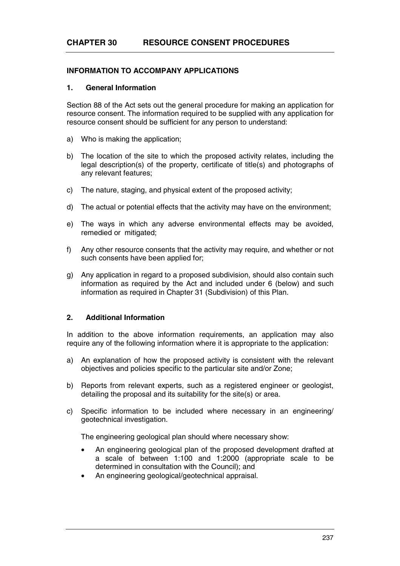# **INFORMATION TO ACCOMPANY APPLICATIONS**

### **1. General Information**

Section 88 of the Act sets out the general procedure for making an application for resource consent. The information required to be supplied with any application for resource consent should be sufficient for any person to understand:

- a) Who is making the application;
- b) The location of the site to which the proposed activity relates, including the legal description(s) of the property, certificate of title(s) and photographs of any relevant features;
- c) The nature, staging, and physical extent of the proposed activity;
- d) The actual or potential effects that the activity may have on the environment;
- e) The ways in which any adverse environmental effects may be avoided, remedied or mitigated;
- f) Any other resource consents that the activity may require, and whether or not such consents have been applied for;
- g) Any application in regard to a proposed subdivision, should also contain such information as required by the Act and included under 6 (below) and such information as required in Chapter 31 (Subdivision) of this Plan.

## **2. Additional Information**

In addition to the above information requirements, an application may also require any of the following information where it is appropriate to the application:

- a) An explanation of how the proposed activity is consistent with the relevant objectives and policies specific to the particular site and/or Zone;
- b) Reports from relevant experts, such as a registered engineer or geologist, detailing the proposal and its suitability for the site(s) or area.
- c) Specific information to be included where necessary in an engineering/ geotechnical investigation.

The engineering geological plan should where necessary show:

- An engineering geological plan of the proposed development drafted at a scale of between 1:100 and 1:2000 (appropriate scale to be determined in consultation with the Council); and
- An engineering geological/geotechnical appraisal.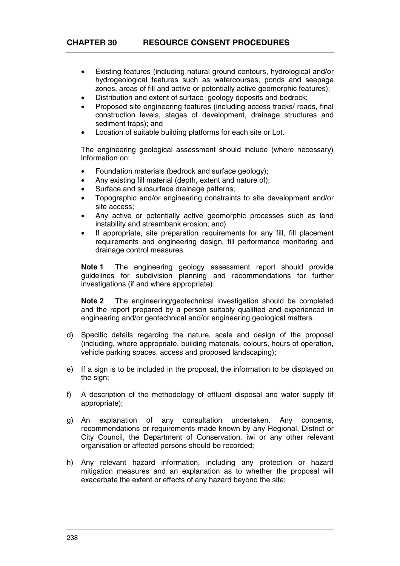- Existing features (including natural ground contours, hydrological and/or hydrogeological features such as watercourses, ponds and seepage zones, areas of fill and active or potentially active geomorphic features);
- Distribution and extent of surface geology deposits and bedrock;
- Proposed site engineering features (including access tracks/ roads, final construction levels, stages of development, drainage structures and sediment traps); and
- Location of suitable building platforms for each site or Lot.

The engineering geological assessment should include (where necessary) information on:

- Foundation materials (bedrock and surface geology);
- Any existing fill material (depth, extent and nature of);
- Surface and subsurface drainage patterns;
- Topographic and/or engineering constraints to site development and/or site access;
- Any active or potentially active geomorphic processes such as land instability and streambank erosion; and)
- If appropriate, site preparation requirements for any fill, fill placement requirements and engineering design, fill performance monitoring and drainage control measures.

**Note 1** The engineering geology assessment report should provide guidelines for subdivision planning and recommendations for further investigations (if and where appropriate).

**Note 2** The engineering/geotechnical investigation should be completed and the report prepared by a person suitably qualified and experienced in engineering and/or geotechnical and/or engineering geological matters.

- d) Specific details regarding the nature, scale and design of the proposal (including, where appropriate, building materials, colours, hours of operation, vehicle parking spaces, access and proposed landscaping);
- e) If a sign is to be included in the proposal, the information to be displayed on the sign;
- f) A description of the methodology of effluent disposal and water supply (if appropriate);
- g) An explanation of any consultation undertaken. Any concerns, recommendations or requirements made known by any Regional, District or City Council, the Department of Conservation, iwi or any other relevant organisation or affected persons should be recorded;
- h) Any relevant hazard information, including any protection or hazard mitigation measures and an explanation as to whether the proposal will exacerbate the extent or effects of any hazard beyond the site;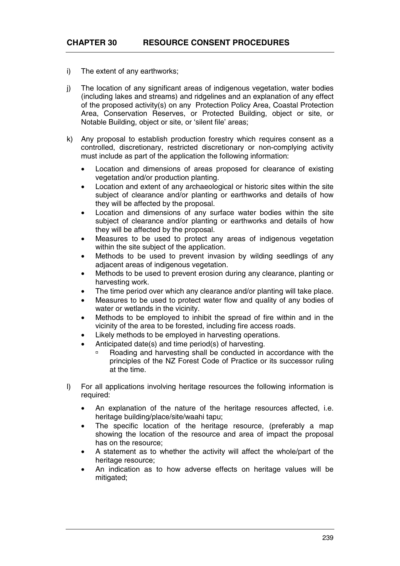- i) The extent of any earthworks;
- j) The location of any significant areas of indigenous vegetation, water bodies (including lakes and streams) and ridgelines and an explanation of any effect of the proposed activity(s) on any Protection Policy Area, Coastal Protection Area, Conservation Reserves, or Protected Building, object or site, or Notable Building, object or site, or 'silent file' areas;
- k) Any proposal to establish production forestry which requires consent as a controlled, discretionary, restricted discretionary or non-complying activity must include as part of the application the following information:
	- Location and dimensions of areas proposed for clearance of existing vegetation and/or production planting.
	- Location and extent of any archaeological or historic sites within the site subject of clearance and/or planting or earthworks and details of how they will be affected by the proposal.
	- Location and dimensions of any surface water bodies within the site subject of clearance and/or planting or earthworks and details of how they will be affected by the proposal.
	- Measures to be used to protect any areas of indigenous vegetation within the site subject of the application.
	- Methods to be used to prevent invasion by wilding seedlings of any adjacent areas of indigenous vegetation.
	- Methods to be used to prevent erosion during any clearance, planting or harvesting work.
	- The time period over which any clearance and/or planting will take place.
	- Measures to be used to protect water flow and quality of any bodies of water or wetlands in the vicinity.
	- Methods to be employed to inhibit the spread of fire within and in the vicinity of the area to be forested, including fire access roads.
	- Likely methods to be employed in harvesting operations.
	- Anticipated date(s) and time period(s) of harvesting.
		- à Roading and harvesting shall be conducted in accordance with the principles of the NZ Forest Code of Practice or its successor ruling at the time.
- l) For all applications involving heritage resources the following information is required:
	- An explanation of the nature of the heritage resources affected, i.e. heritage building/place/site/waahi tapu;
	- The specific location of the heritage resource, (preferably a map showing the location of the resource and area of impact the proposal has on the resource;
	- A statement as to whether the activity will affect the whole/part of the heritage resource;
	- An indication as to how adverse effects on heritage values will be mitigated;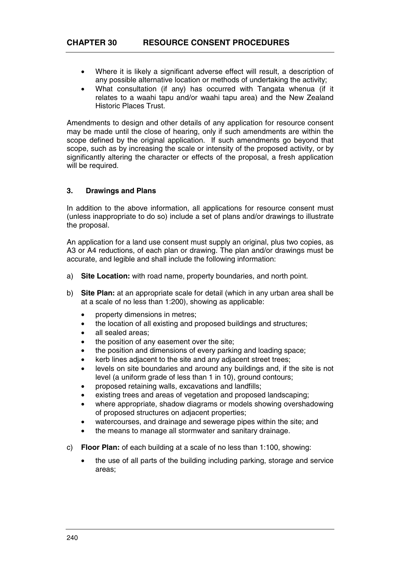- Where it is likely a significant adverse effect will result, a description of any possible alternative location or methods of undertaking the activity;
- What consultation (if any) has occurred with Tangata whenua (if it relates to a waahi tapu and/or waahi tapu area) and the New Zealand Historic Places Trust.

Amendments to design and other details of any application for resource consent may be made until the close of hearing, only if such amendments are within the scope defined by the original application. If such amendments go beyond that scope, such as by increasing the scale or intensity of the proposed activity, or by significantly altering the character or effects of the proposal, a fresh application will be required.

## **3. Drawings and Plans**

In addition to the above information, all applications for resource consent must (unless inappropriate to do so) include a set of plans and/or drawings to illustrate the proposal.

An application for a land use consent must supply an original, plus two copies, as A3 or A4 reductions, of each plan or drawing. The plan and/or drawings must be accurate, and legible and shall include the following information:

- a) **Site Location:** with road name, property boundaries, and north point.
- b) **Site Plan:** at an appropriate scale for detail (which in any urban area shall be at a scale of no less than 1:200), showing as applicable:
	- property dimensions in metres;
	- the location of all existing and proposed buildings and structures;
	- all sealed areas:
	- the position of any easement over the site;
	- the position and dimensions of every parking and loading space;
	- kerb lines adjacent to the site and any adjacent street trees;
	- levels on site boundaries and around any buildings and, if the site is not level (a uniform grade of less than 1 in 10), ground contours;
	- proposed retaining walls, excavations and landfills;
	- existing trees and areas of vegetation and proposed landscaping;
	- where appropriate, shadow diagrams or models showing overshadowing of proposed structures on adjacent properties;
	- watercourses, and drainage and sewerage pipes within the site; and
	- the means to manage all stormwater and sanitary drainage.
- c) **Floor Plan:** of each building at a scale of no less than 1:100, showing:
	- the use of all parts of the building including parking, storage and service areas;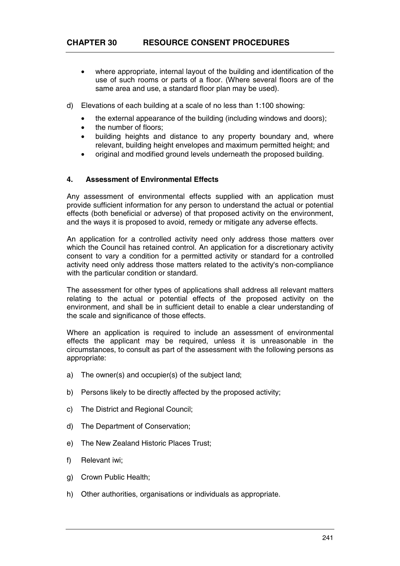- where appropriate, internal layout of the building and identification of the use of such rooms or parts of a floor. (Where several floors are of the same area and use, a standard floor plan may be used).
- d) Elevations of each building at a scale of no less than 1:100 showing:
	- the external appearance of the building (including windows and doors);
	- the number of floors;
	- building heights and distance to any property boundary and, where relevant, building height envelopes and maximum permitted height; and
	- original and modified ground levels underneath the proposed building.

## **4. Assessment of Environmental Effects**

Any assessment of environmental effects supplied with an application must provide sufficient information for any person to understand the actual or potential effects (both beneficial or adverse) of that proposed activity on the environment, and the ways it is proposed to avoid, remedy or mitigate any adverse effects.

An application for a controlled activity need only address those matters over which the Council has retained control. An application for a discretionary activity consent to vary a condition for a permitted activity or standard for a controlled activity need only address those matters related to the activity's non-compliance with the particular condition or standard.

The assessment for other types of applications shall address all relevant matters relating to the actual or potential effects of the proposed activity on the environment, and shall be in sufficient detail to enable a clear understanding of the scale and significance of those effects.

Where an application is required to include an assessment of environmental effects the applicant may be required, unless it is unreasonable in the circumstances, to consult as part of the assessment with the following persons as appropriate:

- a) The owner(s) and occupier(s) of the subject land;
- b) Persons likely to be directly affected by the proposed activity;
- c) The District and Regional Council;
- d) The Department of Conservation;
- e) The New Zealand Historic Places Trust;
- f) Relevant iwi;
- g) Crown Public Health;
- h) Other authorities, organisations or individuals as appropriate.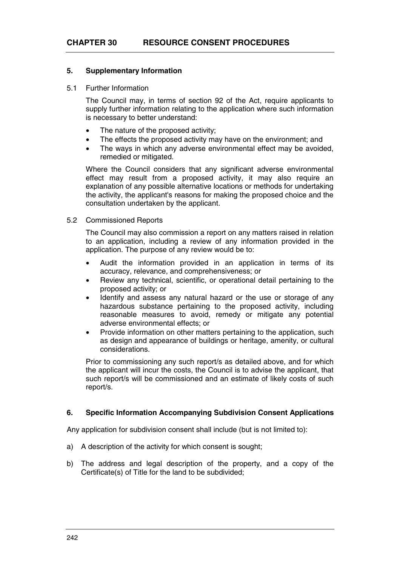### **5. Supplementary Information**

#### 5.1 Further Information

The Council may, in terms of section 92 of the Act, require applicants to supply further information relating to the application where such information is necessary to better understand:

- The nature of the proposed activity;
- The effects the proposed activity may have on the environment; and
- The ways in which any adverse environmental effect may be avoided, remedied or mitigated.

Where the Council considers that any significant adverse environmental effect may result from a proposed activity, it may also require an explanation of any possible alternative locations or methods for undertaking the activity, the applicant's reasons for making the proposed choice and the consultation undertaken by the applicant.

### 5.2 Commissioned Reports

The Council may also commission a report on any matters raised in relation to an application, including a review of any information provided in the application. The purpose of any review would be to:

- Audit the information provided in an application in terms of its accuracy, relevance, and comprehensiveness; or
- Review any technical, scientific, or operational detail pertaining to the proposed activity; or
- Identify and assess any natural hazard or the use or storage of any hazardous substance pertaining to the proposed activity, including reasonable measures to avoid, remedy or mitigate any potential adverse environmental effects; or
- Provide information on other matters pertaining to the application, such as design and appearance of buildings or heritage, amenity, or cultural considerations.

Prior to commissioning any such report/s as detailed above, and for which the applicant will incur the costs, the Council is to advise the applicant, that such report/s will be commissioned and an estimate of likely costs of such report/s.

### **6. Specific Information Accompanying Subdivision Consent Applications**

Any application for subdivision consent shall include (but is not limited to):

- a) A description of the activity for which consent is sought;
- b) The address and legal description of the property, and a copy of the Certificate(s) of Title for the land to be subdivided;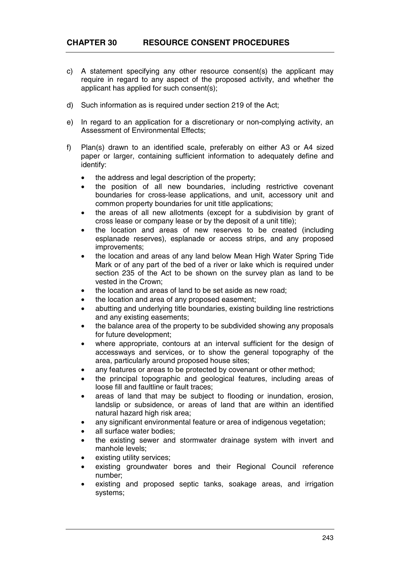- c) A statement specifying any other resource consent(s) the applicant may require in regard to any aspect of the proposed activity, and whether the applicant has applied for such consent(s);
- d) Such information as is required under section 219 of the Act;
- e) In regard to an application for a discretionary or non-complying activity, an Assessment of Environmental Effects;
- f) Plan(s) drawn to an identified scale, preferably on either A3 or A4 sized paper or larger, containing sufficient information to adequately define and identify:
	- the address and legal description of the property:
	- the position of all new boundaries, including restrictive covenant boundaries for cross-lease applications, and unit, accessory unit and common property boundaries for unit title applications;
	- the areas of all new allotments (except for a subdivision by grant of cross lease or company lease or by the deposit of a unit title);
	- the location and areas of new reserves to be created (including esplanade reserves), esplanade or access strips, and any proposed improvements;
	- the location and areas of any land below Mean High Water Spring Tide Mark or of any part of the bed of a river or lake which is required under section 235 of the Act to be shown on the survey plan as land to be vested in the Crown;
	- the location and areas of land to be set aside as new road:
	- the location and area of any proposed easement;
	- abutting and underlying title boundaries, existing building line restrictions and any existing easements;
	- the balance area of the property to be subdivided showing any proposals for future development;
	- where appropriate, contours at an interval sufficient for the design of accessways and services, or to show the general topography of the area, particularly around proposed house sites;
	- any features or areas to be protected by covenant or other method;
	- the principal topographic and geological features, including areas of loose fill and faultline or fault traces;
	- areas of land that may be subject to flooding or inundation, erosion. landslip or subsidence, or areas of land that are within an identified natural hazard high risk area;
	- any significant environmental feature or area of indigenous vegetation;
	- all surface water bodies:
	- the existing sewer and stormwater drainage system with invert and manhole levels;
	- existing utility services;
	- existing groundwater bores and their Regional Council reference number;
	- existing and proposed septic tanks, soakage areas, and irrigation systems;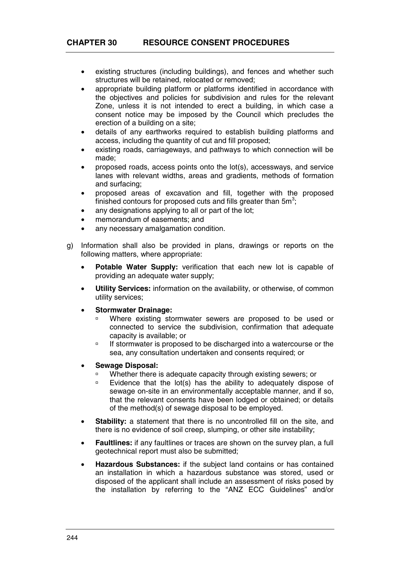- existing structures (including buildings), and fences and whether such structures will be retained, relocated or removed;
- appropriate building platform or platforms identified in accordance with the objectives and policies for subdivision and rules for the relevant Zone, unless it is not intended to erect a building, in which case a consent notice may be imposed by the Council which precludes the erection of a building on a site;
- details of any earthworks required to establish building platforms and access, including the quantity of cut and fill proposed;
- existing roads, carriageways, and pathways to which connection will be made;
- proposed roads, access points onto the lot(s), accessways, and service lanes with relevant widths, areas and gradients, methods of formation and surfacing;
- proposed areas of excavation and fill, together with the proposed finished contours for proposed cuts and fills greater than  $5m^3$ ;
- any designations applying to all or part of the lot;
- memorandum of easements; and
- any necessary amalgamation condition.
- g) Information shall also be provided in plans, drawings or reports on the following matters, where appropriate:
	- **Potable Water Supply:** verification that each new lot is capable of providing an adequate water supply;
	- **Utility Services:** information on the availability, or otherwise, of common utility services;
	- **Stormwater Drainage:**
		- à Where existing stormwater sewers are proposed to be used or connected to service the subdivision, confirmation that adequate capacity is available; or
		- à If stormwater is proposed to be discharged into a watercourse or the sea, any consultation undertaken and consents required; or
	- **Sewage Disposal:** 
		- Whether there is adequate capacity through existing sewers; or
		- à Evidence that the lot(s) has the ability to adequately dispose of sewage on-site in an environmentally acceptable manner, and if so, that the relevant consents have been lodged or obtained; or details of the method(s) of sewage disposal to be employed.
	- **Stability:** a statement that there is no uncontrolled fill on the site, and there is no evidence of soil creep, slumping, or other site instability;
	- **Faultlines:** if any faultlines or traces are shown on the survey plan, a full geotechnical report must also be submitted;
	- **Hazardous Substances:** if the subject land contains or has contained an installation in which a hazardous substance was stored, used or disposed of the applicant shall include an assessment of risks posed by the installation by referring to the "ANZ ECC Guidelines" and/or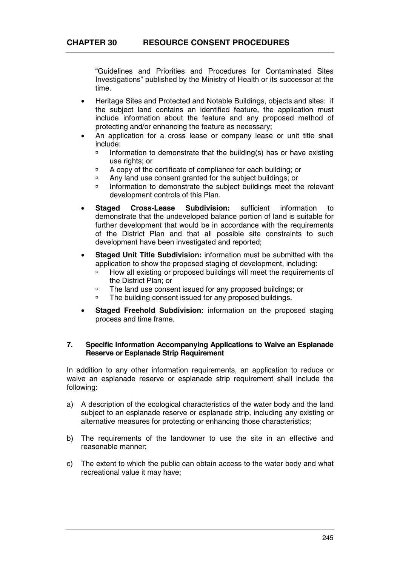"Guidelines and Priorities and Procedures for Contaminated Sites Investigations" published by the Ministry of Health or its successor at the time.

- Heritage Sites and Protected and Notable Buildings, objects and sites: if the subject land contains an identified feature, the application must include information about the feature and any proposed method of protecting and/or enhancing the feature as necessary;
- An application for a cross lease or company lease or unit title shall include:
	- $\Box$  Information to demonstrate that the building(s) has or have existing use rights; or
	- à A copy of the certificate of compliance for each building; or
	- <sup>o</sup> Any land use consent granted for the subject buildings; or<br>landscript buildings meet the subject buildings meet the
	- à Information to demonstrate the subject buildings meet the relevant development controls of this Plan.
- **Staged Cross-Lease Subdivision:** sufficient information to demonstrate that the undeveloped balance portion of land is suitable for further development that would be in accordance with the requirements of the District Plan and that all possible site constraints to such development have been investigated and reported;
- **Staged Unit Title Subdivision:** information must be submitted with the application to show the proposed staging of development, including:
	- à How all existing or proposed buildings will meet the requirements of the District Plan; or
	- à The land use consent issued for any proposed buildings; or
	- à The building consent issued for any proposed buildings.
- **Staged Freehold Subdivision:** information on the proposed staging process and time frame.

### **7. Specific Information Accompanying Applications to Waive an Esplanade Reserve or Esplanade Strip Requirement**

In addition to any other information requirements, an application to reduce or waive an esplanade reserve or esplanade strip requirement shall include the following:

- a) A description of the ecological characteristics of the water body and the land subject to an esplanade reserve or esplanade strip, including any existing or alternative measures for protecting or enhancing those characteristics;
- b) The requirements of the landowner to use the site in an effective and reasonable manner;
- c) The extent to which the public can obtain access to the water body and what recreational value it may have;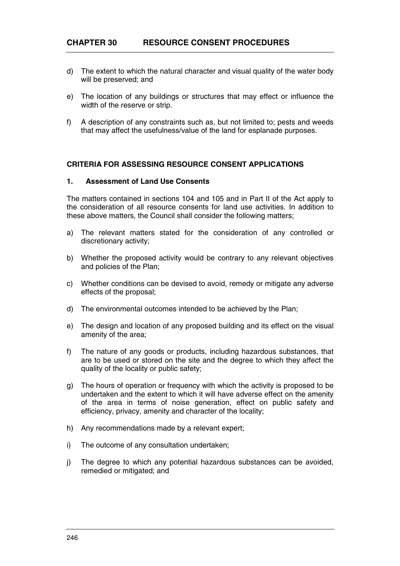- d) The extent to which the natural character and visual quality of the water body will be preserved; and
- e) The location of any buildings or structures that may effect or influence the width of the reserve or strip.
- f) A description of any constraints such as, but not limited to; pests and weeds that may affect the usefulness/value of the land for esplanade purposes.

### **CRITERIA FOR ASSESSING RESOURCE CONSENT APPLICATIONS**

### **1. Assessment of Land Use Consents**

The matters contained in sections 104 and 105 and in Part II of the Act apply to the consideration of all resource consents for land use activities. In addition to these above matters, the Council shall consider the following matters;

- a) The relevant matters stated for the consideration of any controlled or discretionary activity;
- b) Whether the proposed activity would be contrary to any relevant objectives and policies of the Plan;
- c) Whether conditions can be devised to avoid, remedy or mitigate any adverse effects of the proposal;
- d) The environmental outcomes intended to be achieved by the Plan;
- e) The design and location of any proposed building and its effect on the visual amenity of the area;
- f) The nature of any goods or products, including hazardous substances, that are to be used or stored on the site and the degree to which they affect the quality of the locality or public safety;
- g) The hours of operation or frequency with which the activity is proposed to be undertaken and the extent to which it will have adverse effect on the amenity of the area in terms of noise generation, effect on public safety and efficiency, privacy, amenity and character of the locality;
- h) Any recommendations made by a relevant expert;
- i) The outcome of any consultation undertaken;
- j) The degree to which any potential hazardous substances can be avoided, remedied or mitigated; and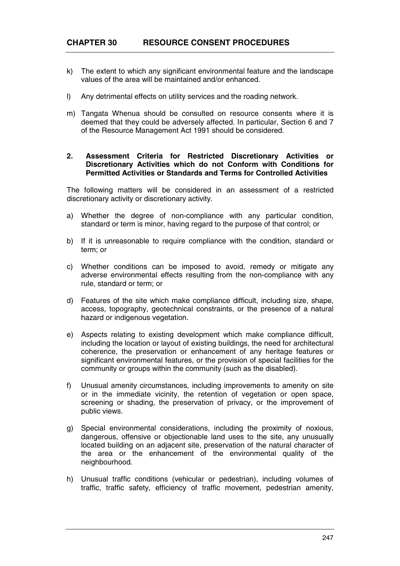- k) The extent to which any significant environmental feature and the landscape values of the area will be maintained and/or enhanced.
- l) Any detrimental effects on utility services and the roading network.
- m) Tangata Whenua should be consulted on resource consents where it is deemed that they could be adversely affected. In particular, Section 6 and 7 of the Resource Management Act 1991 should be considered.

#### **2. Assessment Criteria for Restricted Discretionary Activities or Discretionary Activities which do not Conform with Conditions for Permitted Activities or Standards and Terms for Controlled Activities**

The following matters will be considered in an assessment of a restricted discretionary activity or discretionary activity.

- a) Whether the degree of non-compliance with any particular condition, standard or term is minor, having regard to the purpose of that control; or
- b) If it is unreasonable to require compliance with the condition, standard or term; or
- c) Whether conditions can be imposed to avoid, remedy or mitigate any adverse environmental effects resulting from the non-compliance with any rule, standard or term; or
- d) Features of the site which make compliance difficult, including size, shape, access, topography, geotechnical constraints, or the presence of a natural hazard or indigenous vegetation.
- e) Aspects relating to existing development which make compliance difficult, including the location or layout of existing buildings, the need for architectural coherence, the preservation or enhancement of any heritage features or significant environmental features, or the provision of special facilities for the community or groups within the community (such as the disabled).
- f) Unusual amenity circumstances, including improvements to amenity on site or in the immediate vicinity, the retention of vegetation or open space, screening or shading, the preservation of privacy, or the improvement of public views.
- g) Special environmental considerations, including the proximity of noxious, dangerous, offensive or objectionable land uses to the site, any unusually located building on an adjacent site, preservation of the natural character of the area or the enhancement of the environmental quality of the neighbourhood.
- h) Unusual traffic conditions (vehicular or pedestrian), including volumes of traffic, traffic safety, efficiency of traffic movement, pedestrian amenity,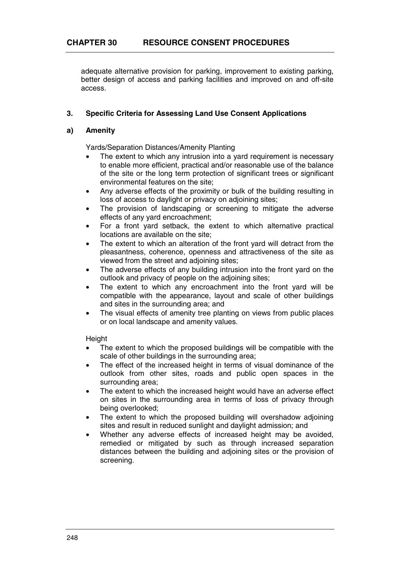adequate alternative provision for parking, improvement to existing parking, better design of access and parking facilities and improved on and off-site access.

# **3. Specific Criteria for Assessing Land Use Consent Applications**

## **a) Amenity**

Yards/Separation Distances/Amenity Planting

- The extent to which any intrusion into a yard requirement is necessary to enable more efficient, practical and/or reasonable use of the balance of the site or the long term protection of significant trees or significant environmental features on the site;
- Any adverse effects of the proximity or bulk of the building resulting in loss of access to daylight or privacy on adjoining sites;
- The provision of landscaping or screening to mitigate the adverse effects of any yard encroachment;
- For a front yard setback, the extent to which alternative practical locations are available on the site;
- The extent to which an alteration of the front vard will detract from the pleasantness, coherence, openness and attractiveness of the site as viewed from the street and adjoining sites;
- The adverse effects of any building intrusion into the front yard on the outlook and privacy of people on the adjoining sites;
- The extent to which any encroachment into the front yard will be compatible with the appearance, layout and scale of other buildings and sites in the surrounding area; and
- The visual effects of amenity tree planting on views from public places or on local landscape and amenity values.

**Height** 

- The extent to which the proposed buildings will be compatible with the scale of other buildings in the surrounding area;
- The effect of the increased height in terms of visual dominance of the outlook from other sites, roads and public open spaces in the surrounding area;
- The extent to which the increased height would have an adverse effect on sites in the surrounding area in terms of loss of privacy through being overlooked;
- The extent to which the proposed building will overshadow adjoining sites and result in reduced sunlight and daylight admission; and
- Whether any adverse effects of increased height may be avoided. remedied or mitigated by such as through increased separation distances between the building and adjoining sites or the provision of screening.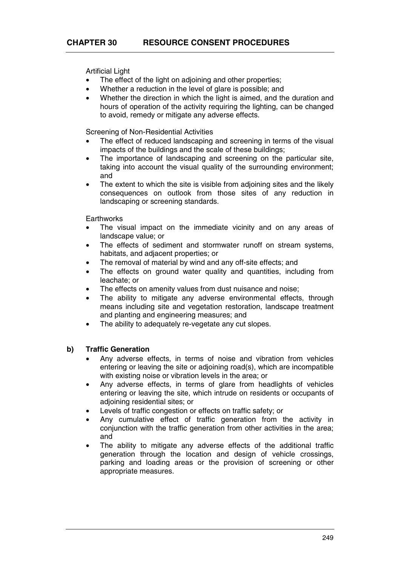Artificial Light

- The effect of the light on adjoining and other properties;
- Whether a reduction in the level of glare is possible; and
- Whether the direction in which the light is aimed, and the duration and hours of operation of the activity requiring the lighting, can be changed to avoid, remedy or mitigate any adverse effects.

Screening of Non-Residential Activities

- The effect of reduced landscaping and screening in terms of the visual impacts of the buildings and the scale of these buildings;
- The importance of landscaping and screening on the particular site, taking into account the visual quality of the surrounding environment; and
- The extent to which the site is visible from adjoining sites and the likely consequences on outlook from those sites of any reduction in landscaping or screening standards.

**Earthworks** 

- The visual impact on the immediate vicinity and on any areas of landscape value; or
- The effects of sediment and stormwater runoff on stream systems, habitats, and adjacent properties; or
- The removal of material by wind and any off-site effects; and
- The effects on ground water quality and quantities, including from leachate; or
- The effects on amenity values from dust nuisance and noise;
- The ability to mitigate any adverse environmental effects, through means including site and vegetation restoration, landscape treatment and planting and engineering measures; and
- The ability to adequately re-vegetate any cut slopes.

## **b) Traffic Generation**

- Any adverse effects, in terms of noise and vibration from vehicles entering or leaving the site or adjoining road(s), which are incompatible with existing noise or vibration levels in the area; or
- Any adverse effects, in terms of glare from headlights of vehicles entering or leaving the site, which intrude on residents or occupants of adioining residential sites; or
- Levels of traffic congestion or effects on traffic safety; or
- Any cumulative effect of traffic generation from the activity in conjunction with the traffic generation from other activities in the area; and
- The ability to mitigate any adverse effects of the additional traffic generation through the location and design of vehicle crossings, parking and loading areas or the provision of screening or other appropriate measures.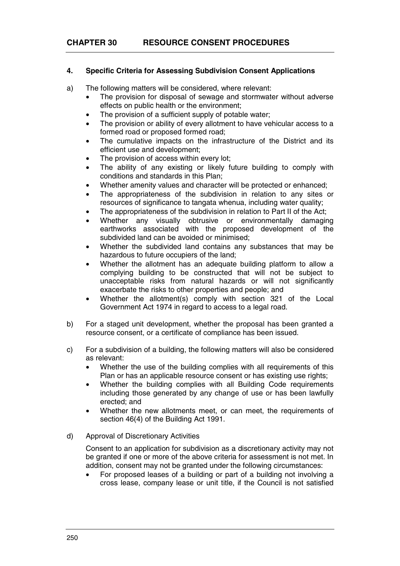# **4. Specific Criteria for Assessing Subdivision Consent Applications**

- a) The following matters will be considered, where relevant:
	- The provision for disposal of sewage and stormwater without adverse effects on public health or the environment;
	- The provision of a sufficient supply of potable water:
	- The provision or ability of every allotment to have vehicular access to a formed road or proposed formed road;
	- The cumulative impacts on the infrastructure of the District and its efficient use and development;
	- The provision of access within every lot:
	- The ability of any existing or likely future building to comply with conditions and standards in this Plan;
	- Whether amenity values and character will be protected or enhanced;
	- The appropriateness of the subdivision in relation to any sites or resources of significance to tangata whenua, including water quality;
	- The appropriateness of the subdivision in relation to Part II of the Act:
	- Whether any visually obtrusive or environmentally damaging earthworks associated with the proposed development of the subdivided land can be avoided or minimised;
	- Whether the subdivided land contains any substances that may be hazardous to future occupiers of the land;
	- Whether the allotment has an adequate building platform to allow a complying building to be constructed that will not be subject to unacceptable risks from natural hazards or will not significantly exacerbate the risks to other properties and people; and
	- Whether the allotment(s) comply with section 321 of the Local Government Act 1974 in regard to access to a legal road.
- b) For a staged unit development, whether the proposal has been granted a resource consent, or a certificate of compliance has been issued.
- c) For a subdivision of a building, the following matters will also be considered as relevant:
	- Whether the use of the building complies with all requirements of this Plan or has an applicable resource consent or has existing use rights;
	- Whether the building complies with all Building Code requirements including those generated by any change of use or has been lawfully erected; and
	- Whether the new allotments meet, or can meet, the requirements of section 46(4) of the Building Act 1991.
- d) Approval of Discretionary Activities

Consent to an application for subdivision as a discretionary activity may not be granted if one or more of the above criteria for assessment is not met. In addition, consent may not be granted under the following circumstances:

• For proposed leases of a building or part of a building not involving a cross lease, company lease or unit title, if the Council is not satisfied